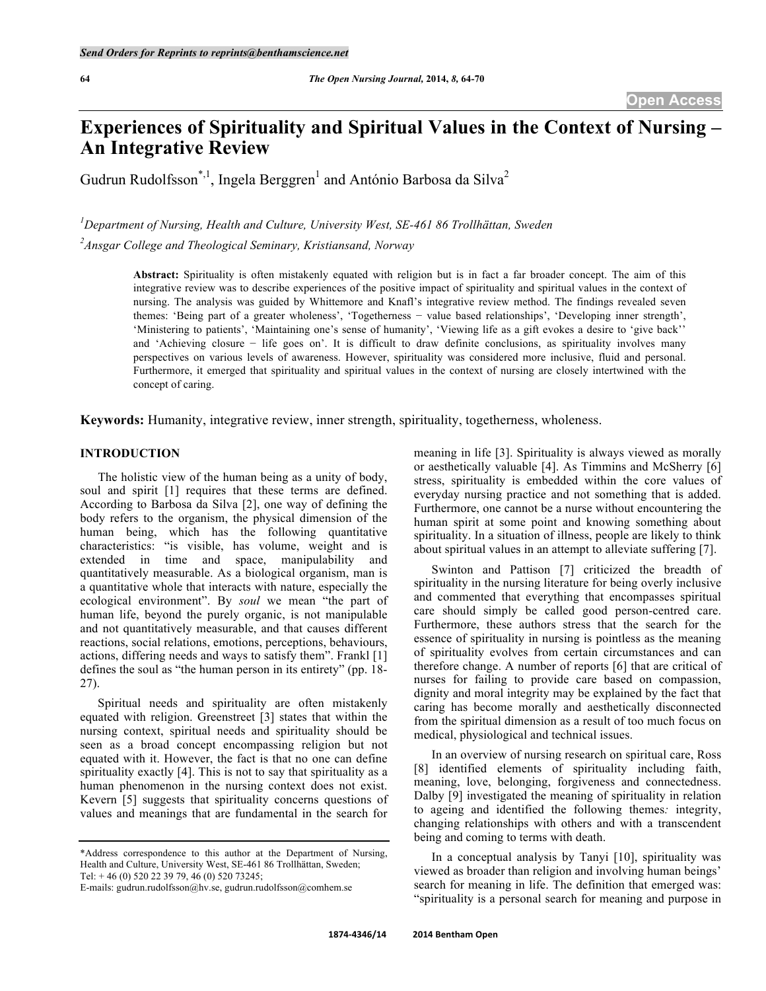# **Experiences of Spirituality and Spiritual Values in the Context of Nursing – An Integrative Review**

Gudrun Rudolfsson<sup>\*,1</sup>, Ingela Berggren<sup>1</sup> and António Barbosa da Silva<sup>2</sup>

*1 Department of Nursing, Health and Culture, University West, SE-461 86 Trollhättan, Sweden 2 Ansgar College and Theological Seminary, Kristiansand, Norway*

> **Abstract:** Spirituality is often mistakenly equated with religion but is in fact a far broader concept. The aim of this integrative review was to describe experiences of the positive impact of spirituality and spiritual values in the context of nursing. The analysis was guided by Whittemore and Knafl's integrative review method. The findings revealed seven themes: 'Being part of a greater wholeness', 'Togetherness − value based relationships', 'Developing inner strength', 'Ministering to patients', 'Maintaining one's sense of humanity', 'Viewing life as a gift evokes a desire to 'give back'' and 'Achieving closure − life goes on'. It is difficult to draw definite conclusions, as spirituality involves many perspectives on various levels of awareness. However, spirituality was considered more inclusive, fluid and personal. Furthermore, it emerged that spirituality and spiritual values in the context of nursing are closely intertwined with the concept of caring.

**Keywords:** Humanity, integrative review, inner strength, spirituality, togetherness, wholeness.

# **INTRODUCTION**

The holistic view of the human being as a unity of body, soul and spirit [1] requires that these terms are defined. According to Barbosa da Silva [2], one way of defining the body refers to the organism, the physical dimension of the human being, which has the following quantitative characteristics: "is visible, has volume, weight and is extended in time and space, manipulability and quantitatively measurable. As a biological organism, man is a quantitative whole that interacts with nature, especially the ecological environment". By *soul* we mean "the part of human life, beyond the purely organic, is not manipulable and not quantitatively measurable, and that causes different reactions, social relations, emotions, perceptions, behaviours, actions, differing needs and ways to satisfy them". Frankl [1] defines the soul as "the human person in its entirety" (pp. 18- 27).

Spiritual needs and spirituality are often mistakenly equated with religion. Greenstreet [3] states that within the nursing context, spiritual needs and spirituality should be seen as a broad concept encompassing religion but not equated with it. However, the fact is that no one can define spirituality exactly [4]. This is not to say that spirituality as a human phenomenon in the nursing context does not exist. Kevern [5] suggests that spirituality concerns questions of values and meanings that are fundamental in the search for

\*Address correspondence to this author at the Department of Nursing, Health and Culture, University West, SE-461 86 Trollhättan, Sweden; Tel: + 46 (0) 520 22 39 79, 46 (0) 520 73245;

meaning in life [3]. Spirituality is always viewed as morally or aesthetically valuable [4]. As Timmins and McSherry [6] stress, spirituality is embedded within the core values of everyday nursing practice and not something that is added. Furthermore, one cannot be a nurse without encountering the human spirit at some point and knowing something about spirituality. In a situation of illness, people are likely to think about spiritual values in an attempt to alleviate suffering [7].

Swinton and Pattison [7] criticized the breadth of spirituality in the nursing literature for being overly inclusive and commented that everything that encompasses spiritual care should simply be called good person-centred care. Furthermore, these authors stress that the search for the essence of spirituality in nursing is pointless as the meaning of spirituality evolves from certain circumstances and can therefore change. A number of reports [6] that are critical of nurses for failing to provide care based on compassion, dignity and moral integrity may be explained by the fact that caring has become morally and aesthetically disconnected from the spiritual dimension as a result of too much focus on medical, physiological and technical issues.

In an overview of nursing research on spiritual care, Ross [8] identified elements of spirituality including faith, meaning, love, belonging, forgiveness and connectedness. Dalby [9] investigated the meaning of spirituality in relation to ageing and identified the following themes*:* integrity, changing relationships with others and with a transcendent being and coming to terms with death.

In a conceptual analysis by Tanyi [10], spirituality was viewed as broader than religion and involving human beings' search for meaning in life. The definition that emerged was: "spirituality is a personal search for meaning and purpose in

E-mails: gudrun.rudolfsson@hv.se, gudrun.rudolfsson@comhem.se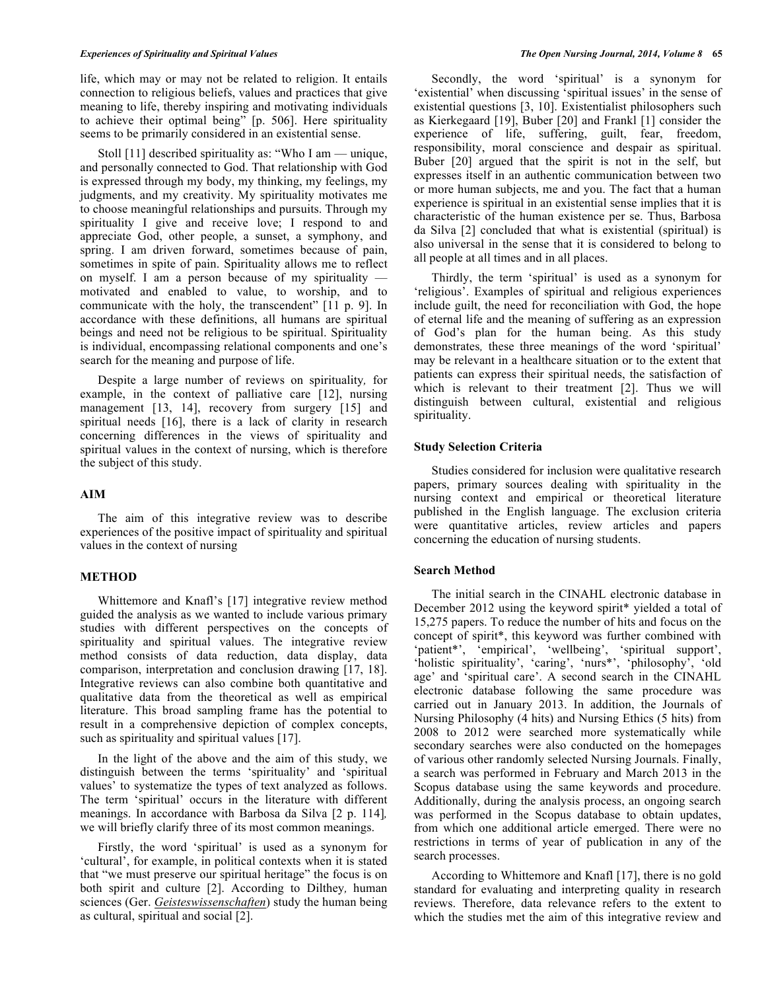life, which may or may not be related to religion. It entails connection to religious beliefs, values and practices that give meaning to life, thereby inspiring and motivating individuals to achieve their optimal being" [p. 506]. Here spirituality seems to be primarily considered in an existential sense.

Stoll [11] described spirituality as: "Who I am — unique, and personally connected to God. That relationship with God is expressed through my body, my thinking, my feelings, my judgments, and my creativity. My spirituality motivates me to choose meaningful relationships and pursuits. Through my spirituality I give and receive love; I respond to and appreciate God, other people, a sunset, a symphony, and spring. I am driven forward, sometimes because of pain, sometimes in spite of pain. Spirituality allows me to reflect on myself. I am a person because of my spirituality – motivated and enabled to value, to worship, and to communicate with the holy, the transcendent" [11 p. 9]. In accordance with these definitions, all humans are spiritual beings and need not be religious to be spiritual. Spirituality is individual, encompassing relational components and one's search for the meaning and purpose of life.

Despite a large number of reviews on spirituality*,* for example, in the context of palliative care [12], nursing management [13, 14], recovery from surgery [15] and spiritual needs [16], there is a lack of clarity in research concerning differences in the views of spirituality and spiritual values in the context of nursing, which is therefore the subject of this study.

#### **AIM**

The aim of this integrative review was to describe experiences of the positive impact of spirituality and spiritual values in the context of nursing

# **METHOD**

Whittemore and Knafl's [17] integrative review method guided the analysis as we wanted to include various primary studies with different perspectives on the concepts of spirituality and spiritual values. The integrative review method consists of data reduction, data display, data comparison, interpretation and conclusion drawing [17, 18]. Integrative reviews can also combine both quantitative and qualitative data from the theoretical as well as empirical literature. This broad sampling frame has the potential to result in a comprehensive depiction of complex concepts, such as spirituality and spiritual values [17].

In the light of the above and the aim of this study, we distinguish between the terms 'spirituality' and 'spiritual values' to systematize the types of text analyzed as follows. The term 'spiritual' occurs in the literature with different meanings. In accordance with Barbosa da Silva [2 p. 114]*,* we will briefly clarify three of its most common meanings.

Firstly, the word 'spiritual' is used as a synonym for 'cultural', for example, in political contexts when it is stated that "we must preserve our spiritual heritage" the focus is on both spirit and culture [2]. According to Dilthey*,* human sciences (Ger. *Geisteswissenschaften*) study the human being as cultural, spiritual and social [2].

Secondly, the word 'spiritual' is a synonym for 'existential' when discussing 'spiritual issues' in the sense of existential questions [3, 10]. Existentialist philosophers such as Kierkegaard [19], Buber [20] and Frankl [1] consider the experience of life, suffering, guilt, fear, freedom, responsibility, moral conscience and despair as spiritual. Buber [20] argued that the spirit is not in the self, but expresses itself in an authentic communication between two or more human subjects, me and you. The fact that a human experience is spiritual in an existential sense implies that it is characteristic of the human existence per se. Thus, Barbosa da Silva [2] concluded that what is existential (spiritual) is also universal in the sense that it is considered to belong to all people at all times and in all places.

Thirdly, the term 'spiritual' is used as a synonym for 'religious'. Examples of spiritual and religious experiences include guilt, the need for reconciliation with God, the hope of eternal life and the meaning of suffering as an expression of God's plan for the human being. As this study demonstrates*,* these three meanings of the word 'spiritual' may be relevant in a healthcare situation or to the extent that patients can express their spiritual needs, the satisfaction of which is relevant to their treatment [2]. Thus we will distinguish between cultural, existential and religious spirituality.

#### **Study Selection Criteria**

Studies considered for inclusion were qualitative research papers, primary sources dealing with spirituality in the nursing context and empirical or theoretical literature published in the English language. The exclusion criteria were quantitative articles, review articles and papers concerning the education of nursing students.

#### **Search Method**

The initial search in the CINAHL electronic database in December 2012 using the keyword spirit\* yielded a total of 15,275 papers. To reduce the number of hits and focus on the concept of spirit\*, this keyword was further combined with 'patient\*', 'empirical', 'wellbeing', 'spiritual support', 'holistic spirituality', 'caring', 'nurs\*', 'philosophy', 'old age' and 'spiritual care'. A second search in the CINAHL electronic database following the same procedure was carried out in January 2013. In addition, the Journals of Nursing Philosophy (4 hits) and Nursing Ethics (5 hits) from 2008 to 2012 were searched more systematically while secondary searches were also conducted on the homepages of various other randomly selected Nursing Journals. Finally, a search was performed in February and March 2013 in the Scopus database using the same keywords and procedure. Additionally, during the analysis process, an ongoing search was performed in the Scopus database to obtain updates, from which one additional article emerged. There were no restrictions in terms of year of publication in any of the search processes.

According to Whittemore and Knafl [17], there is no gold standard for evaluating and interpreting quality in research reviews. Therefore, data relevance refers to the extent to which the studies met the aim of this integrative review and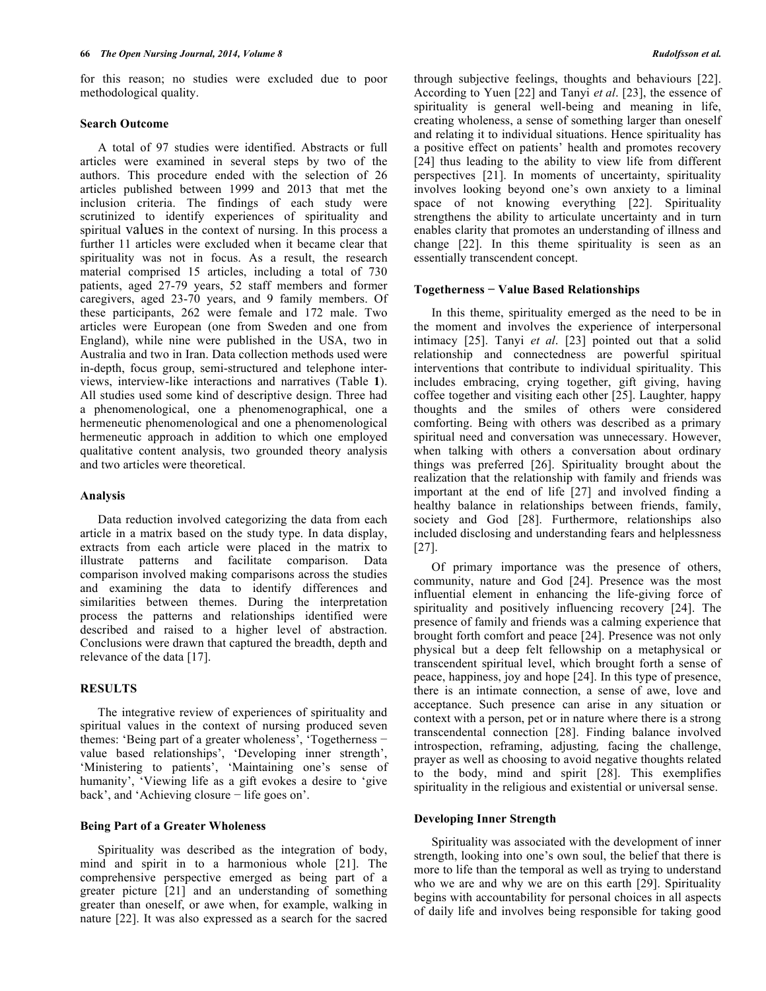for this reason; no studies were excluded due to poor methodological quality.

#### **Search Outcome**

A total of 97 studies were identified. Abstracts or full articles were examined in several steps by two of the authors. This procedure ended with the selection of 26 articles published between 1999 and 2013 that met the inclusion criteria. The findings of each study were scrutinized to identify experiences of spirituality and spiritual values in the context of nursing. In this process a further 11 articles were excluded when it became clear that spirituality was not in focus. As a result, the research material comprised 15 articles, including a total of 730 patients, aged 27-79 years, 52 staff members and former caregivers, aged 23-70 years, and 9 family members. Of these participants, 262 were female and 172 male. Two articles were European (one from Sweden and one from England), while nine were published in the USA, two in Australia and two in Iran. Data collection methods used were in-depth, focus group, semi-structured and telephone interviews, interview-like interactions and narratives (Table **1**). All studies used some kind of descriptive design. Three had a phenomenological, one a phenomenographical, one a hermeneutic phenomenological and one a phenomenological hermeneutic approach in addition to which one employed qualitative content analysis, two grounded theory analysis and two articles were theoretical.

# **Analysis**

Data reduction involved categorizing the data from each article in a matrix based on the study type. In data display, extracts from each article were placed in the matrix to illustrate patterns and facilitate comparison. Data comparison involved making comparisons across the studies and examining the data to identify differences and similarities between themes. During the interpretation process the patterns and relationships identified were described and raised to a higher level of abstraction. Conclusions were drawn that captured the breadth, depth and relevance of the data [17].

# **RESULTS**

The integrative review of experiences of spirituality and spiritual values in the context of nursing produced seven themes: 'Being part of a greater wholeness', 'Togetherness − value based relationships', 'Developing inner strength', 'Ministering to patients', 'Maintaining one's sense of humanity', 'Viewing life as a gift evokes a desire to 'give back', and 'Achieving closure − life goes on'.

## **Being Part of a Greater Wholeness**

Spirituality was described as the integration of body, mind and spirit in to a harmonious whole [21]. The comprehensive perspective emerged as being part of a greater picture [21] and an understanding of something greater than oneself, or awe when, for example, walking in nature [22]. It was also expressed as a search for the sacred through subjective feelings, thoughts and behaviours [22]. According to Yuen [22] and Tanyi *et al*. [23], the essence of spirituality is general well-being and meaning in life, creating wholeness, a sense of something larger than oneself and relating it to individual situations. Hence spirituality has a positive effect on patients' health and promotes recovery [24] thus leading to the ability to view life from different perspectives [21]. In moments of uncertainty, spirituality involves looking beyond one's own anxiety to a liminal space of not knowing everything [22]. Spirituality strengthens the ability to articulate uncertainty and in turn enables clarity that promotes an understanding of illness and change [22]. In this theme spirituality is seen as an essentially transcendent concept.

#### **Togetherness − Value Based Relationships**

In this theme, spirituality emerged as the need to be in the moment and involves the experience of interpersonal intimacy [25]. Tanyi *et al*. [23] pointed out that a solid relationship and connectedness are powerful spiritual interventions that contribute to individual spirituality. This includes embracing, crying together, gift giving, having coffee together and visiting each other [25]. Laughter*,* happy thoughts and the smiles of others were considered comforting. Being with others was described as a primary spiritual need and conversation was unnecessary. However, when talking with others a conversation about ordinary things was preferred [26]. Spirituality brought about the realization that the relationship with family and friends was important at the end of life [27] and involved finding a healthy balance in relationships between friends, family, society and God [28]. Furthermore, relationships also included disclosing and understanding fears and helplessness [27].

Of primary importance was the presence of others, community, nature and God [24]. Presence was the most influential element in enhancing the life-giving force of spirituality and positively influencing recovery [24]. The presence of family and friends was a calming experience that brought forth comfort and peace [24]. Presence was not only physical but a deep felt fellowship on a metaphysical or transcendent spiritual level, which brought forth a sense of peace, happiness, joy and hope [24]. In this type of presence, there is an intimate connection, a sense of awe, love and acceptance. Such presence can arise in any situation or context with a person, pet or in nature where there is a strong transcendental connection [28]. Finding balance involved introspection, reframing, adjusting*,* facing the challenge, prayer as well as choosing to avoid negative thoughts related to the body, mind and spirit [28]. This exemplifies spirituality in the religious and existential or universal sense.

#### **Developing Inner Strength**

Spirituality was associated with the development of inner strength, looking into one's own soul, the belief that there is more to life than the temporal as well as trying to understand who we are and why we are on this earth [29]. Spirituality begins with accountability for personal choices in all aspects of daily life and involves being responsible for taking good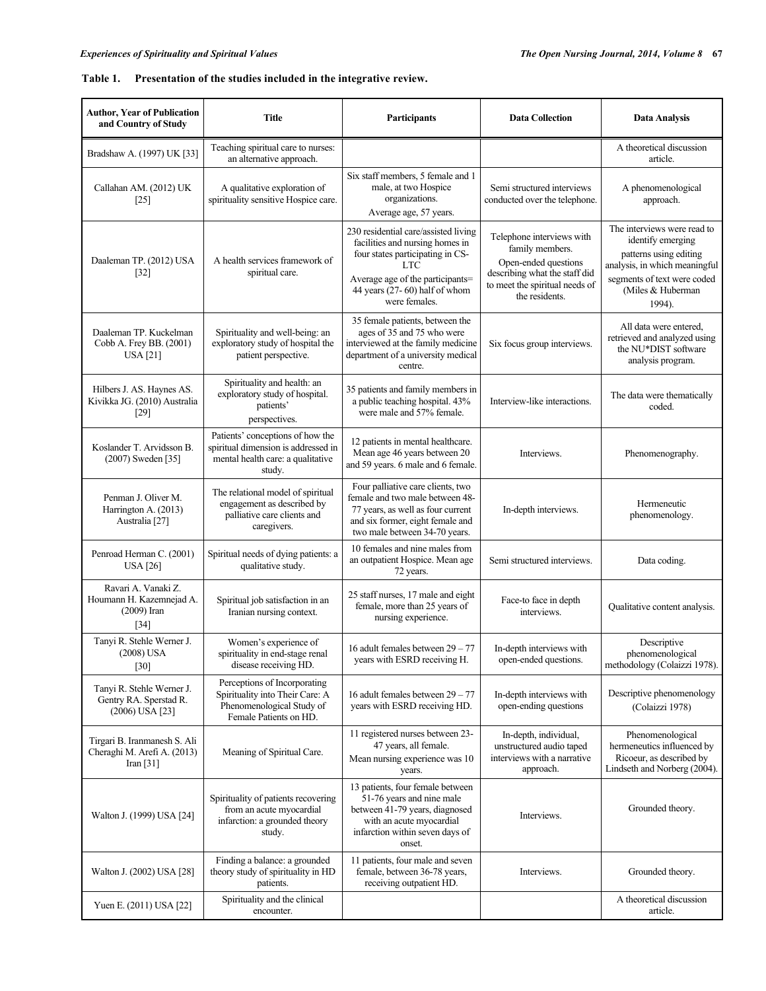# **Table 1. Presentation of the studies included in the integrative review.**

| <b>Author, Year of Publication</b><br>and Country of Study                 | <b>Title</b>                                                                                                           | Participants                                                                                                                                                                                                    | <b>Data Collection</b>                                                                                                                                    | <b>Data Analysis</b>                                                                                                                                                       |
|----------------------------------------------------------------------------|------------------------------------------------------------------------------------------------------------------------|-----------------------------------------------------------------------------------------------------------------------------------------------------------------------------------------------------------------|-----------------------------------------------------------------------------------------------------------------------------------------------------------|----------------------------------------------------------------------------------------------------------------------------------------------------------------------------|
| Bradshaw A. (1997) UK [33]                                                 | Teaching spiritual care to nurses:<br>an alternative approach.                                                         |                                                                                                                                                                                                                 |                                                                                                                                                           | A theoretical discussion<br>article.                                                                                                                                       |
| Callahan AM. (2012) UK<br>$[25]$                                           | A qualitative exploration of<br>spirituality sensitive Hospice care.                                                   | Six staff members, 5 female and 1<br>male, at two Hospice<br>organizations.<br>Average age, 57 years.                                                                                                           | Semi structured interviews<br>conducted over the telephone.                                                                                               | A phenomenological<br>approach.                                                                                                                                            |
| Daaleman TP. (2012) USA<br>$[32]$                                          | A health services framework of<br>spiritual care.                                                                      | 230 residential care/assisted living<br>facilities and nursing homes in<br>four states participating in CS-<br><b>LTC</b><br>Average age of the participants=<br>44 years (27-60) half of whom<br>were females. | Telephone interviews with<br>family members.<br>Open-ended questions<br>describing what the staff did<br>to meet the spiritual needs of<br>the residents. | The interviews were read to<br>identify emerging<br>patterns using editing<br>analysis, in which meaningful<br>segments of text were coded<br>(Miles & Huberman)<br>1994). |
| Daaleman TP. Kuckelman<br>Cobb A. Frey BB. (2001)<br><b>USA</b> [21]       | Spirituality and well-being: an<br>exploratory study of hospital the<br>patient perspective.                           | 35 female patients, between the<br>ages of 35 and 75 who were<br>interviewed at the family medicine<br>department of a university medical<br>centre.                                                            | Six focus group interviews.                                                                                                                               | All data were entered.<br>retrieved and analyzed using<br>the NU*DIST software<br>analysis program.                                                                        |
| Hilbers J. AS. Haynes AS.<br>Kivikka JG. (2010) Australia<br>$[29]$        | Spirituality and health: an<br>exploratory study of hospital.<br>patients'<br>perspectives.                            | 35 patients and family members in<br>a public teaching hospital. 43%<br>were male and 57% female.                                                                                                               | Interview-like interactions.                                                                                                                              | The data were thematically<br>coded.                                                                                                                                       |
| Koslander T. Arvidsson B.<br>(2007) Sweden [35]                            | Patients' conceptions of how the<br>spiritual dimension is addressed in<br>mental health care: a qualitative<br>study. | 12 patients in mental healthcare.<br>Mean age 46 years between 20<br>and 59 years. 6 male and 6 female.                                                                                                         | Interviews.                                                                                                                                               | Phenomenography.                                                                                                                                                           |
| Penman J. Oliver M.<br>Harrington A. (2013)<br>Australia [27]              | The relational model of spiritual<br>engagement as described by<br>palliative care clients and<br>caregivers.          | Four palliative care clients, two<br>female and two male between 48-<br>77 years, as well as four current<br>and six former, eight female and<br>two male between 34-70 years.                                  | In-depth interviews.                                                                                                                                      | Hermeneutic<br>phenomenology.                                                                                                                                              |
| Penroad Herman C. (2001)<br><b>USA</b> [26]                                | Spiritual needs of dying patients: a<br>qualitative study.                                                             | 10 females and nine males from<br>an outpatient Hospice. Mean age<br>72 years.                                                                                                                                  | Semi structured interviews.                                                                                                                               | Data coding.                                                                                                                                                               |
| Ravari A. Vanaki Z.<br>Houmann H. Kazemnejad A.<br>$(2009)$ Iran<br>$[34]$ | Spiritual job satisfaction in an<br>Iranian nursing context.                                                           | 25 staff nurses, 17 male and eight<br>female, more than 25 years of<br>nursing experience.                                                                                                                      | Face-to face in depth<br>interviews.                                                                                                                      | Qualitative content analysis.                                                                                                                                              |
| Tanyi R. Stehle Werner J.<br>$(2008)$ USA<br>$[30]$                        | Women's experience of<br>spirituality in end-stage renal<br>disease receiving HD.                                      | 16 adult females between 29 - 77<br>years with ESRD receiving H.                                                                                                                                                | In-depth interviews with<br>open-ended questions.                                                                                                         | Descriptive<br>phenomenological<br>methodology (Colaizzi 1978).                                                                                                            |
| Tanyi R. Stehle Werner J.<br>Gentry RA. Sperstad R.<br>$(2006)$ USA $[23]$ | Perceptions of Incorporating<br>Spirituality into Their Care: A<br>Phenomenological Study of<br>Female Patients on HD. | 16 adult females between 29 - 77<br>years with ESRD receiving HD.                                                                                                                                               | In-depth interviews with<br>open-ending questions                                                                                                         | Descriptive phenomenology<br>(Colaizzi 1978)                                                                                                                               |
| Tirgari B. Iranmanesh S. Ali<br>Cheraghi M. Arefi A. (2013)<br>Iran $[31]$ | Meaning of Spiritual Care.                                                                                             | 11 registered nurses between 23-<br>47 years, all female.<br>Mean nursing experience was 10<br>years.                                                                                                           | In-depth, individual,<br>unstructured audio taped<br>interviews with a narrative<br>approach.                                                             | Phenomenological<br>hermeneutics influenced by<br>Ricoeur, as described by<br>Lindseth and Norberg (2004).                                                                 |
| Walton J. (1999) USA [24]                                                  | Spirituality of patients recovering<br>from an acute myocardial<br>infarction: a grounded theory<br>study.             | 13 patients, four female between<br>51-76 years and nine male<br>between 41-79 years, diagnosed<br>with an acute myocardial<br>infarction within seven days of<br>onset.                                        | Interviews.                                                                                                                                               | Grounded theory.                                                                                                                                                           |
| Walton J. (2002) USA [28]                                                  | Finding a balance: a grounded<br>theory study of spirituality in HD<br>patients.                                       | 11 patients, four male and seven<br>female, between 36-78 years,<br>receiving outpatient HD.                                                                                                                    | Interviews.                                                                                                                                               | Grounded theory.                                                                                                                                                           |
| Yuen E. (2011) USA [22]                                                    | Spirituality and the clinical<br>encounter.                                                                            |                                                                                                                                                                                                                 |                                                                                                                                                           | A theoretical discussion<br>article.                                                                                                                                       |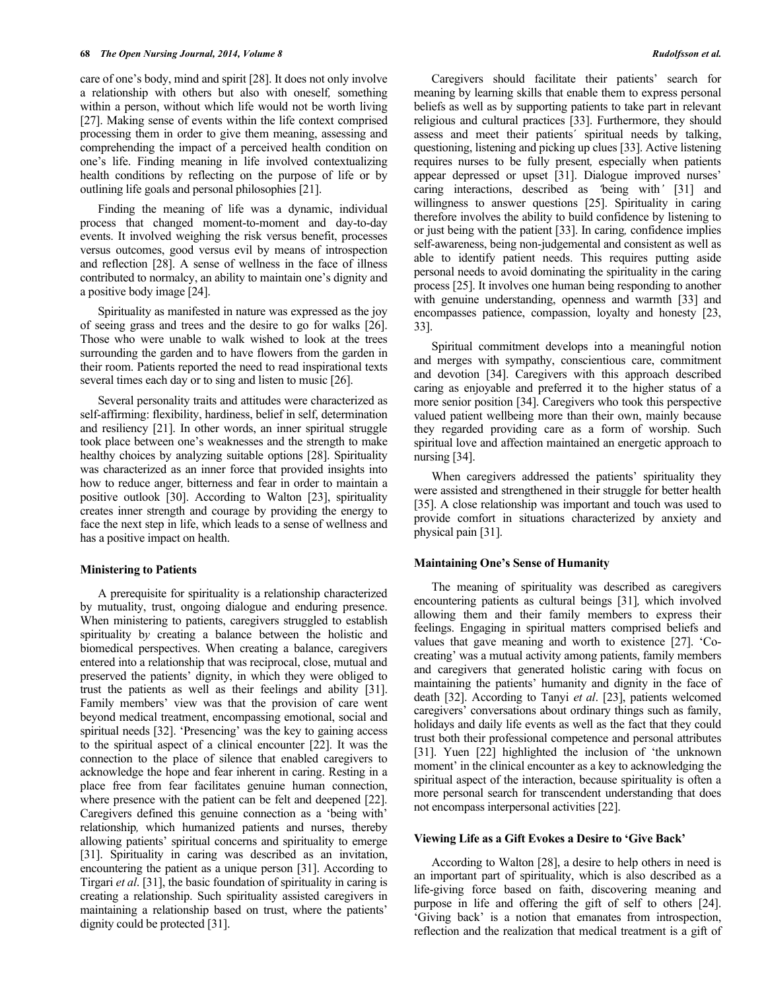care of one's body, mind and spirit [28]. It does not only involve a relationship with others but also with oneself*,* something within a person, without which life would not be worth living [27]. Making sense of events within the life context comprised processing them in order to give them meaning, assessing and comprehending the impact of a perceived health condition on one's life. Finding meaning in life involved contextualizing health conditions by reflecting on the purpose of life or by outlining life goals and personal philosophies [21].

Finding the meaning of life was a dynamic, individual process that changed moment-to-moment and day-to-day events. It involved weighing the risk versus benefit, processes versus outcomes, good versus evil by means of introspection and reflection [28]. A sense of wellness in the face of illness contributed to normalcy, an ability to maintain one's dignity and a positive body image [24].

Spirituality as manifested in nature was expressed as the joy of seeing grass and trees and the desire to go for walks [26]. Those who were unable to walk wished to look at the trees surrounding the garden and to have flowers from the garden in their room. Patients reported the need to read inspirational texts several times each day or to sing and listen to music [26].

Several personality traits and attitudes were characterized as self-affirming: flexibility, hardiness, belief in self, determination and resiliency [21]. In other words, an inner spiritual struggle took place between one's weaknesses and the strength to make healthy choices by analyzing suitable options [28]. Spirituality was characterized as an inner force that provided insights into how to reduce anger*,* bitterness and fear in order to maintain a positive outlook [30]. According to Walton [23], spirituality creates inner strength and courage by providing the energy to face the next step in life, which leads to a sense of wellness and has a positive impact on health.

#### **Ministering to Patients**

A prerequisite for spirituality is a relationship characterized by mutuality, trust, ongoing dialogue and enduring presence. When ministering to patients, caregivers struggled to establish spirituality b*y* creating a balance between the holistic and biomedical perspectives. When creating a balance, caregivers entered into a relationship that was reciprocal, close, mutual and preserved the patients' dignity, in which they were obliged to trust the patients as well as their feelings and ability [31]. Family members' view was that the provision of care went beyond medical treatment, encompassing emotional, social and spiritual needs [32]. 'Presencing' was the key to gaining access to the spiritual aspect of a clinical encounter [22]. It was the connection to the place of silence that enabled caregivers to acknowledge the hope and fear inherent in caring. Resting in a place free from fear facilitates genuine human connection, where presence with the patient can be felt and deepened [22]. Caregivers defined this genuine connection as a 'being with' relationship*,* which humanized patients and nurses, thereby allowing patients' spiritual concerns and spirituality to emerge [31]. Spirituality in caring was described as an invitation, encountering the patient as a unique person [31]. According to Tirgari *et al*. [31], the basic foundation of spirituality in caring is creating a relationship. Such spirituality assisted caregivers in maintaining a relationship based on trust, where the patients' dignity could be protected [31].

Caregivers should facilitate their patients' search for meaning by learning skills that enable them to express personal beliefs as well as by supporting patients to take part in relevant religious and cultural practices [33]. Furthermore, they should assess and meet their patients´ spiritual needs by talking, questioning, listening and picking up clues [33]. Active listening requires nurses to be fully present*,* especially when patients appear depressed or upset [31]. Dialogue improved nurses' caring interactions, described as *'*being with*'* [31] and willingness to answer questions [25]. Spirituality in caring therefore involves the ability to build confidence by listening to or just being with the patient [33]. In caring*,* confidence implies self-awareness, being non-judgemental and consistent as well as able to identify patient needs. This requires putting aside personal needs to avoid dominating the spirituality in the caring process [25]. It involves one human being responding to another with genuine understanding, openness and warmth [33] and encompasses patience, compassion, loyalty and honesty [23, 33].

Spiritual commitment develops into a meaningful notion and merges with sympathy, conscientious care, commitment and devotion [34]. Caregivers with this approach described caring as enjoyable and preferred it to the higher status of a more senior position [34]. Caregivers who took this perspective valued patient wellbeing more than their own, mainly because they regarded providing care as a form of worship. Such spiritual love and affection maintained an energetic approach to nursing [34].

When caregivers addressed the patients' spirituality they were assisted and strengthened in their struggle for better health [35]. A close relationship was important and touch was used to provide comfort in situations characterized by anxiety and physical pain [31].

#### **Maintaining One's Sense of Humanity**

The meaning of spirituality was described as caregivers encountering patients as cultural beings [31]*,* which involved allowing them and their family members to express their feelings. Engaging in spiritual matters comprised beliefs and values that gave meaning and worth to existence [27]. 'Cocreating' was a mutual activity among patients, family members and caregivers that generated holistic caring with focus on maintaining the patients' humanity and dignity in the face of death [32]. According to Tanyi *et al*. [23], patients welcomed caregivers' conversations about ordinary things such as family, holidays and daily life events as well as the fact that they could trust both their professional competence and personal attributes [31]. Yuen [22] highlighted the inclusion of 'the unknown moment' in the clinical encounter as a key to acknowledging the spiritual aspect of the interaction, because spirituality is often a more personal search for transcendent understanding that does not encompass interpersonal activities [22].

#### **Viewing Life as a Gift Evokes a Desire to 'Give Back'**

According to Walton [28], a desire to help others in need is an important part of spirituality, which is also described as a life-giving force based on faith, discovering meaning and purpose in life and offering the gift of self to others [24]. 'Giving back' is a notion that emanates from introspection, reflection and the realization that medical treatment is a gift of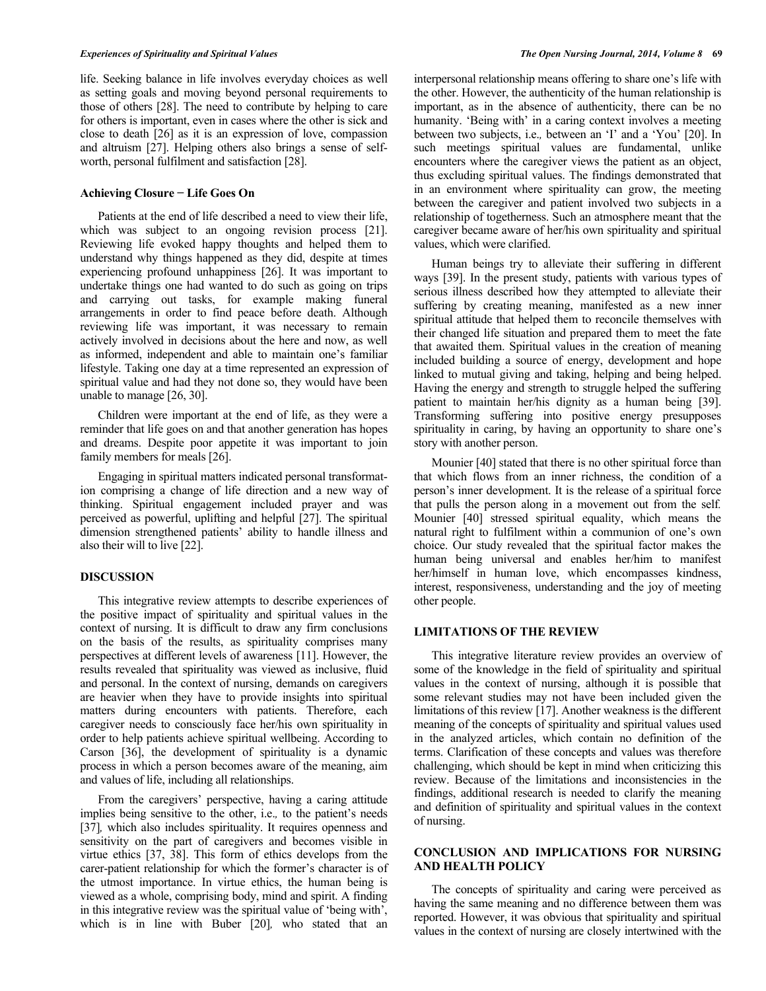## *Experiences of Spirituality and Spiritual Values The Open Nursing Journal, 2014, Volume 8* **69**

life. Seeking balance in life involves everyday choices as well as setting goals and moving beyond personal requirements to those of others [28]. The need to contribute by helping to care for others is important, even in cases where the other is sick and close to death [26] as it is an expression of love, compassion and altruism [27]. Helping others also brings a sense of selfworth, personal fulfilment and satisfaction [28].

# **Achieving Closure − Life Goes On**

Patients at the end of life described a need to view their life, which was subject to an ongoing revision process [21]. Reviewing life evoked happy thoughts and helped them to understand why things happened as they did, despite at times experiencing profound unhappiness [26]. It was important to undertake things one had wanted to do such as going on trips and carrying out tasks, for example making funeral arrangements in order to find peace before death. Although reviewing life was important, it was necessary to remain actively involved in decisions about the here and now, as well as informed, independent and able to maintain one's familiar lifestyle. Taking one day at a time represented an expression of spiritual value and had they not done so, they would have been unable to manage [26, 30].

Children were important at the end of life, as they were a reminder that life goes on and that another generation has hopes and dreams. Despite poor appetite it was important to join family members for meals [26].

Engaging in spiritual matters indicated personal transformation comprising a change of life direction and a new way of thinking. Spiritual engagement included prayer and was perceived as powerful, uplifting and helpful [27]. The spiritual dimension strengthened patients' ability to handle illness and also their will to live [22].

#### **DISCUSSION**

This integrative review attempts to describe experiences of the positive impact of spirituality and spiritual values in the context of nursing. It is difficult to draw any firm conclusions on the basis of the results, as spirituality comprises many perspectives at different levels of awareness [11]. However, the results revealed that spirituality was viewed as inclusive, fluid and personal. In the context of nursing, demands on caregivers are heavier when they have to provide insights into spiritual matters during encounters with patients. Therefore, each caregiver needs to consciously face her/his own spirituality in order to help patients achieve spiritual wellbeing. According to Carson [36], the development of spirituality is a dynamic process in which a person becomes aware of the meaning, aim and values of life, including all relationships.

From the caregivers' perspective, having a caring attitude implies being sensitive to the other, i.e.*,* to the patient's needs [37]*,* which also includes spirituality. It requires openness and sensitivity on the part of caregivers and becomes visible in virtue ethics [37, 38]. This form of ethics develops from the carer-patient relationship for which the former's character is of the utmost importance. In virtue ethics, the human being is viewed as a whole, comprising body, mind and spirit. A finding in this integrative review was the spiritual value of 'being with', which is in line with Buber [20]*,* who stated that an

interpersonal relationship means offering to share one's life with the other. However, the authenticity of the human relationship is important, as in the absence of authenticity, there can be no humanity. 'Being with' in a caring context involves a meeting between two subjects, i.e.*,* between an 'I' and a 'You' [20]. In such meetings spiritual values are fundamental, unlike encounters where the caregiver views the patient as an object, thus excluding spiritual values. The findings demonstrated that in an environment where spirituality can grow, the meeting between the caregiver and patient involved two subjects in a relationship of togetherness. Such an atmosphere meant that the caregiver became aware of her/his own spirituality and spiritual values, which were clarified.

Human beings try to alleviate their suffering in different ways [39]. In the present study, patients with various types of serious illness described how they attempted to alleviate their suffering by creating meaning, manifested as a new inner spiritual attitude that helped them to reconcile themselves with their changed life situation and prepared them to meet the fate that awaited them. Spiritual values in the creation of meaning included building a source of energy, development and hope linked to mutual giving and taking, helping and being helped. Having the energy and strength to struggle helped the suffering patient to maintain her/his dignity as a human being [39]. Transforming suffering into positive energy presupposes spirituality in caring, by having an opportunity to share one's story with another person.

Mounier [40] stated that there is no other spiritual force than that which flows from an inner richness, the condition of a person's inner development. It is the release of a spiritual force that pulls the person along in a movement out from the self*.* Mounier [40] stressed spiritual equality, which means the natural right to fulfilment within a communion of one's own choice. Our study revealed that the spiritual factor makes the human being universal and enables her/him to manifest her/himself in human love, which encompasses kindness, interest, responsiveness, understanding and the joy of meeting other people.

# **LIMITATIONS OF THE REVIEW**

This integrative literature review provides an overview of some of the knowledge in the field of spirituality and spiritual values in the context of nursing, although it is possible that some relevant studies may not have been included given the limitations of this review [17]. Another weakness is the different meaning of the concepts of spirituality and spiritual values used in the analyzed articles, which contain no definition of the terms. Clarification of these concepts and values was therefore challenging, which should be kept in mind when criticizing this review. Because of the limitations and inconsistencies in the findings, additional research is needed to clarify the meaning and definition of spirituality and spiritual values in the context of nursing.

# **CONCLUSION AND IMPLICATIONS FOR NURSING AND HEALTH POLICY**

The concepts of spirituality and caring were perceived as having the same meaning and no difference between them was reported. However, it was obvious that spirituality and spiritual values in the context of nursing are closely intertwined with the